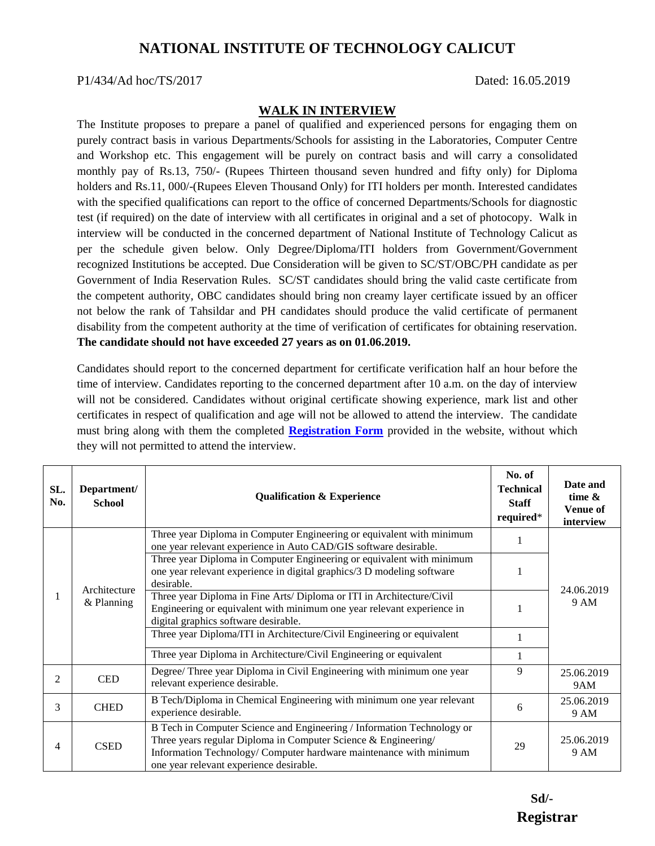## **NATIONAL INSTITUTE OF TECHNOLOGY CALICUT**

## P1/434/Ad hoc/TS/2017 Dated: 16.05.2019

## **WALK IN INTERVIEW**

The Institute proposes to prepare a panel of qualified and experienced persons for engaging them on purely contract basis in various Departments/Schools for assisting in the Laboratories, Computer Centre and Workshop etc. This engagement will be purely on contract basis and will carry a consolidated monthly pay of Rs.13, 750/- (Rupees Thirteen thousand seven hundred and fifty only) for Diploma holders and Rs.11, 000/-(Rupees Eleven Thousand Only) for ITI holders per month. Interested candidates with the specified qualifications can report to the office of concerned Departments/Schools for diagnostic test (if required) on the date of interview with all certificates in original and a set of photocopy. Walk in interview will be conducted in the concerned department of National Institute of Technology Calicut as per the schedule given below. Only Degree/Diploma/ITI holders from Government/Government recognized Institutions be accepted. Due Consideration will be given to SC/ST/OBC/PH candidate as per Government of India Reservation Rules. SC/ST candidates should bring the valid caste certificate from the competent authority, OBC candidates should bring non creamy layer certificate issued by an officer not below the rank of Tahsildar and PH candidates should produce the valid certificate of permanent disability from the competent authority at the time of verification of certificates for obtaining reservation. **The candidate should not have exceeded 27 years as on 01.06.2019.**

Candidates should report to the concerned department for certificate verification half an hour before the time of interview. Candidates reporting to the concerned department after 10 a.m. on the day of interview will not be considered. Candidates without original certificate showing experience, mark list and other certificates in respect of qualification and age will not be allowed to attend the interview. The candidate must bring along with them the completed **[Registration Form](http://nitc.ac.in/app/webroot/img/upload/newsfile_1649.pdf)** provided in the website, without which they will not permitted to attend the interview.

| SL.<br>No. | Department/<br><b>School</b> | <b>Qualification &amp; Experience</b>                                                                                                                                                                                                                     | No. of<br><b>Technical</b><br><b>Staff</b><br>required* | Date and<br>time $\&$<br><b>Venue of</b><br>interview |
|------------|------------------------------|-----------------------------------------------------------------------------------------------------------------------------------------------------------------------------------------------------------------------------------------------------------|---------------------------------------------------------|-------------------------------------------------------|
|            | Architecture<br>& Planning   | Three year Diploma in Computer Engineering or equivalent with minimum<br>one year relevant experience in Auto CAD/GIS software desirable.                                                                                                                 |                                                         | 24.06.2019<br>9 AM                                    |
|            |                              | Three year Diploma in Computer Engineering or equivalent with minimum<br>one year relevant experience in digital graphics/3 D modeling software<br>desirable.                                                                                             |                                                         |                                                       |
|            |                              | Three year Diploma in Fine Arts/ Diploma or ITI in Architecture/Civil<br>Engineering or equivalent with minimum one year relevant experience in<br>digital graphics software desirable.                                                                   |                                                         |                                                       |
|            |                              | Three year Diploma/ITI in Architecture/Civil Engineering or equivalent                                                                                                                                                                                    |                                                         |                                                       |
|            |                              | Three year Diploma in Architecture/Civil Engineering or equivalent                                                                                                                                                                                        |                                                         |                                                       |
| 2          | <b>CED</b>                   | Degree/ Three year Diploma in Civil Engineering with minimum one year<br>relevant experience desirable.                                                                                                                                                   | 9                                                       | 25.06.2019<br>9AM                                     |
| 3          | <b>CHED</b>                  | B Tech/Diploma in Chemical Engineering with minimum one year relevant<br>experience desirable.                                                                                                                                                            | 6                                                       | 25.06.2019<br>9 AM                                    |
| 4          | <b>CSED</b>                  | B Tech in Computer Science and Engineering / Information Technology or<br>Three years regular Diploma in Computer Science & Engineering/<br>Information Technology/ Computer hardware maintenance with minimum<br>one year relevant experience desirable. | 29                                                      | 25.06.2019<br>9 AM                                    |